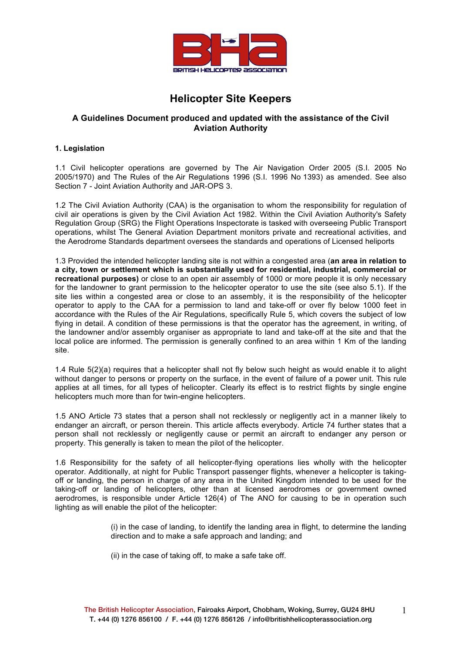

# **Helicopter Site Keepers**

## **A Guidelines Document produced and updated with the assistance of the Civil Aviation Authority**

## **1. Legislation**

1.1 Civil helicopter operations are governed by The Air Navigation Order 2005 (S.I. 2005 No 2005/1970) and The Rules of the Air Regulations 1996 (S.I. 1996 No 1393) as amended. See also Section 7 - Joint Aviation Authority and JAR-OPS 3.

1.2 The Civil Aviation Authority (CAA) is the organisation to whom the responsibility for regulation of civil air operations is given by the Civil Aviation Act 1982. Within the Civil Aviation Authority's Safety Regulation Group (SRG) the Flight Operations Inspectorate is tasked with overseeing Public Transport operations, whilst The General Aviation Department monitors private and recreational activities, and the Aerodrome Standards department oversees the standards and operations of Licensed heliports

1.3 Provided the intended helicopter landing site is not within a congested area (**an area in relation to a city, town or settlement which is substantially used for residential, industrial, commercial or recreational purposes)** or close to an open air assembly of 1000 or more people it is only necessary for the landowner to grant permission to the helicopter operator to use the site (see also 5.1). If the site lies within a congested area or close to an assembly, it is the responsibility of the helicopter operator to apply to the CAA for a permission to land and take-off or over fly below 1000 feet in accordance with the Rules of the Air Regulations, specifically Rule 5, which covers the subject of low flying in detail. A condition of these permissions is that the operator has the agreement, in writing, of the landowner and/or assembly organiser as appropriate to land and take-off at the site and that the local police are informed. The permission is generally confined to an area within 1 Km of the landing site.

1.4 Rule 5(2)(a) requires that a helicopter shall not fly below such height as would enable it to alight without danger to persons or property on the surface, in the event of failure of a power unit. This rule applies at all times, for all types of helicopter. Clearly its effect is to restrict flights by single engine helicopters much more than for twin-engine helicopters.

1.5 ANO Article 73 states that a person shall not recklessly or negligently act in a manner likely to endanger an aircraft, or person therein. This article affects everybody. Article 74 further states that a person shall not recklessly or negligently cause or permit an aircraft to endanger any person or property. This generally is taken to mean the pilot of the helicopter.

1.6 Responsibility for the safety of all helicopter-flying operations lies wholly with the helicopter operator. Additionally, at night for Public Transport passenger flights, whenever a helicopter is takingoff or landing, the person in charge of any area in the United Kingdom intended to be used for the taking-off or landing of helicopters, other than at licensed aerodromes or government owned aerodromes, is responsible under Article 126(4) of The ANO for causing to be in operation such lighting as will enable the pilot of the helicopter:

> (i) in the case of landing, to identify the landing area in flight, to determine the landing direction and to make a safe approach and landing; and

(ii) in the case of taking off, to make a safe take off.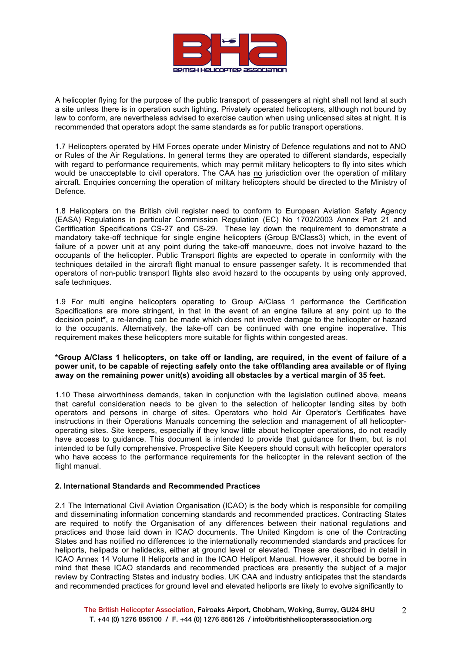

A helicopter flying for the purpose of the public transport of passengers at night shall not land at such a site unless there is in operation such lighting. Privately operated helicopters, although not bound by law to conform, are nevertheless advised to exercise caution when using unlicensed sites at night. It is recommended that operators adopt the same standards as for public transport operations.

1.7 Helicopters operated by HM Forces operate under Ministry of Defence regulations and not to ANO or Rules of the Air Regulations. In general terms they are operated to different standards, especially with regard to performance requirements, which may permit military helicopters to fly into sites which would be unacceptable to civil operators. The CAA has no jurisdiction over the operation of military aircraft. Enquiries concerning the operation of military helicopters should be directed to the Ministry of Defence.

1.8 Helicopters on the British civil register need to conform to European Aviation Safety Agency (EASA) Regulations in particular Commission Regulation (EC) No 1702/2003 Annex Part 21 and Certification Specifications CS-27 and CS-29. These lay down the requirement to demonstrate a mandatory take-off technique for single engine helicopters (Group B/Class3) which, in the event of failure of a power unit at any point during the take-off manoeuvre, does not involve hazard to the occupants of the helicopter. Public Transport flights are expected to operate in conformity with the techniques detailed in the aircraft flight manual to ensure passenger safety. It is recommended that operators of non-public transport flights also avoid hazard to the occupants by using only approved, safe techniques.

1.9 For multi engine helicopters operating to Group A/Class 1 performance the Certification Specifications are more stringent, in that in the event of an engine failure at any point up to the decision point**\***, a re-landing can be made which does not involve damage to the helicopter or hazard to the occupants. Alternatively, the take-off can be continued with one engine inoperative. This requirement makes these helicopters more suitable for flights within congested areas.

## **\*Group A/Class 1 helicopters, on take off or landing, are required, in the event of failure of a power unit, to be capable of rejecting safely onto the take off/landing area available or of flying away on the remaining power unit(s) avoiding all obstacles by a vertical margin of 35 feet.**

1.10 These airworthiness demands, taken in conjunction with the legislation outlined above, means that careful consideration needs to be given to the selection of helicopter landing sites by both operators and persons in charge of sites. Operators who hold Air Operator's Certificates have instructions in their Operations Manuals concerning the selection and management of all helicopteroperating sites. Site keepers, especially if they know little about helicopter operations, do not readily have access to guidance. This document is intended to provide that guidance for them, but is not intended to be fully comprehensive. Prospective Site Keepers should consult with helicopter operators who have access to the performance requirements for the helicopter in the relevant section of the flight manual.

## **2. International Standards and Recommended Practices**

2.1 The International Civil Aviation Organisation (ICAO) is the body which is responsible for compiling and disseminating information concerning standards and recommended practices. Contracting States are required to notify the Organisation of any differences between their national regulations and practices and those laid down in ICAO documents. The United Kingdom is one of the Contracting States and has notified no differences to the internationally recommended standards and practices for heliports, helipads or helidecks, either at ground level or elevated. These are described in detail in ICAO Annex 14 Volume II Heliports and in the ICAO Heliport Manual. However, it should be borne in mind that these ICAO standards and recommended practices are presently the subject of a major review by Contracting States and industry bodies. UK CAA and industry anticipates that the standards and recommended practices for ground level and elevated heliports are likely to evolve significantly to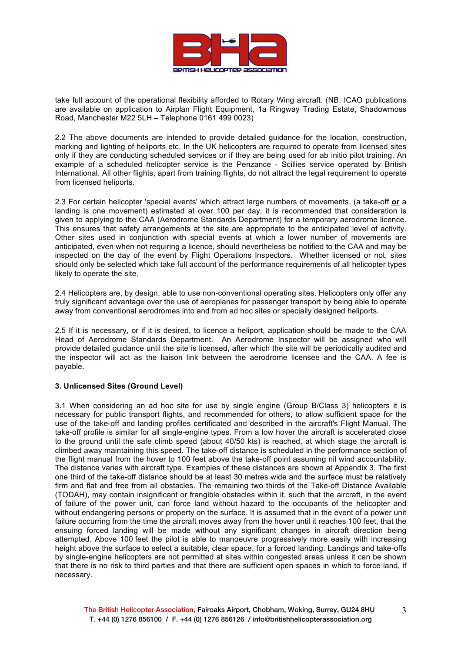

take full account of the operational flexibility afforded to Rotary Wing aircraft. (NB: ICAO publications are available on application to Airplan Flight Equipment, 1a Ringway Trading Estate, Shadowmoss Road, Manchester M22 5LH – Telephone 0161 499 0023)

2.2 The above documents are intended to provide detailed guidance for the location, construction, marking and lighting of heliports etc. In the UK helicopters are required to operate from licensed sites only if they are conducting scheduled services or if they are being used for ab initio pilot training. An example of a scheduled helicopter service is the Penzance - Scillies service operated by British International. All other flights, apart from training flights, do not attract the legal requirement to operate from licensed heliports.

2.3 For certain helicopter 'special events' which attract large numbers of movements, (a take-off **or** a landing is one movement) estimated at over 100 per day, it is recommended that consideration is given to applying to the CAA (Aerodrome Standards Department) for a temporary aerodrome licence. This ensures that safety arrangements at the site are appropriate to the anticipated level of activity. Other sites used in conjunction with special events at which a lower number of movements are anticipated, even when not requiring a licence, should nevertheless be notified to the CAA and may be inspected on the day of the event by Flight Operations Inspectors. Whether licensed or not, sites should only be selected which take full account of the performance requirements of all helicopter types likely to operate the site.

2.4 Helicopters are, by design, able to use non-conventional operating sites. Helicopters only offer any truly significant advantage over the use of aeroplanes for passenger transport by being able to operate away from conventional aerodromes into and from ad hoc sites or specially designed heliports.

2.5 If it is necessary, or if it is desired, to licence a heliport, application should be made to the CAA Head of Aerodrome Standards Department. An Aerodrome Inspector will be assigned who will provide detailed guidance until the site is licensed, after which the site will be periodically audited and the inspector will act as the liaison link between the aerodrome licensee and the CAA. A fee is payable.

## **3. Unlicensed Sites (Ground Level)**

3.1 When considering an ad hoc site for use by single engine (Group B/Class 3) helicopters it is necessary for public transport flights, and recommended for others, to allow sufficient space for the use of the take-off and landing profiles certificated and described in the aircraft's Flight Manual. The take-off profile is similar for all single-engine types. From a low hover the aircraft is accelerated close to the ground until the safe climb speed (about 40/50 kts) is reached, at which stage the aircraft is climbed away maintaining this speed. The take-off distance is scheduled in the performance section of the flight manual from the hover to 100 feet above the take-off point assuming nil wind accountability. The distance varies with aircraft type. Examples of these distances are shown at Appendix 3. The first one third of the take-off distance should be at least 30 metres wide and the surface must be relatively firm and flat and free from all obstacles. The remaining two thirds of the Take-off Distance Available (TODAH), may contain insignificant or frangible obstacles within it, such that the aircraft, in the event of failure of the power unit, can force land without hazard to the occupants of the helicopter and without endangering persons or property on the surface. It is assumed that in the event of a power unit failure occurring from the time the aircraft moves away from the hover until it reaches 100 feet, that the ensuing forced landing will be made without any significant changes in aircraft direction being attempted. Above 100 feet the pilot is able to manoeuvre progressively more easily with increasing height above the surface to select a suitable, clear space, for a forced landing. Landings and take-offs by single-engine helicopters are not permitted at sites within congested areas unless it can be shown that there is no risk to third parties and that there are sufficient open spaces in which to force land, if necessary.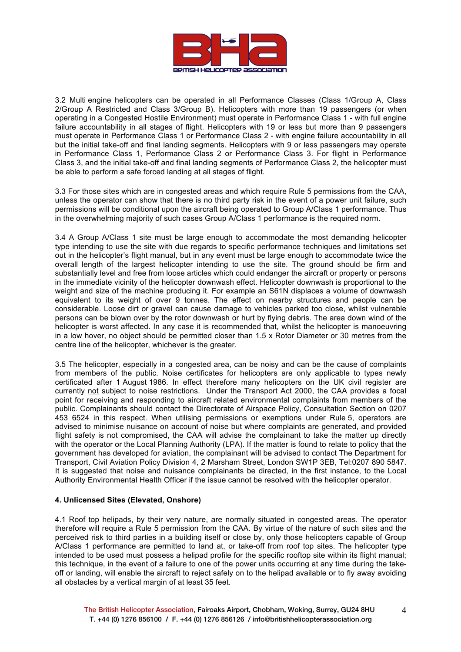

3.2 Multi engine helicopters can be operated in all Performance Classes (Class 1/Group A, Class 2/Group A Restricted and Class 3/Group B). Helicopters with more than 19 passengers (or when operating in a Congested Hostile Environment) must operate in Performance Class 1 - with full engine failure accountability in all stages of flight. Helicopters with 19 or less but more than 9 passengers must operate in Performance Class 1 or Performance Class 2 - with engine failure accountability in all but the initial take-off and final landing segments. Helicopters with 9 or less passengers may operate in Performance Class 1, Performance Class 2 or Performance Class 3. For flight in Performance Class 3, and the initial take-off and final landing segments of Performance Class 2, the helicopter must be able to perform a safe forced landing at all stages of flight.

3.3 For those sites which are in congested areas and which require Rule 5 permissions from the CAA, unless the operator can show that there is no third party risk in the event of a power unit failure, such permissions will be conditional upon the aircraft being operated to Group A/Class 1 performance. Thus in the overwhelming majority of such cases Group A/Class 1 performance is the required norm.

3.4 A Group A/Class 1 site must be large enough to accommodate the most demanding helicopter type intending to use the site with due regards to specific performance techniques and limitations set out in the helicopter's flight manual, but in any event must be large enough to accommodate twice the overall length of the largest helicopter intending to use the site. The ground should be firm and substantially level and free from loose articles which could endanger the aircraft or property or persons in the immediate vicinity of the helicopter downwash effect. Helicopter downwash is proportional to the weight and size of the machine producing it. For example an S61N displaces a volume of downwash equivalent to its weight of over 9 tonnes. The effect on nearby structures and people can be considerable. Loose dirt or gravel can cause damage to vehicles parked too close, whilst vulnerable persons can be blown over by the rotor downwash or hurt by flying debris. The area down wind of the helicopter is worst affected. In any case it is recommended that, whilst the helicopter is manoeuvring in a low hover, no object should be permitted closer than 1.5 x Rotor Diameter or 30 metres from the centre line of the helicopter, whichever is the greater.

3.5 The helicopter, especially in a congested area, can be noisy and can be the cause of complaints from members of the public. Noise certificates for helicopters are only applicable to types newly certificated after 1 August 1986. In effect therefore many helicopters on the UK civil register are currently not subject to noise restrictions. Under the Transport Act 2000, the CAA provides a focal point for receiving and responding to aircraft related environmental complaints from members of the public. Complainants should contact the Directorate of Airspace Policy, Consultation Section on 0207 453 6524 in this respect. When utilising permissions or exemptions under Rule 5, operators are advised to minimise nuisance on account of noise but where complaints are generated, and provided flight safety is not compromised, the CAA will advise the complainant to take the matter up directly with the operator or the Local Planning Authority (LPA). If the matter is found to relate to policy that the government has developed for aviation, the complainant will be advised to contact The Department for Transport, Civil Aviation Policy Division 4, 2 Marsham Street, London SW1P 3EB, Tel:0207 890 5847. It is suggested that noise and nuisance complainants be directed, in the first instance, to the Local Authority Environmental Health Officer if the issue cannot be resolved with the helicopter operator.

#### **4. Unlicensed Sites (Elevated, Onshore)**

4.1 Roof top helipads, by their very nature, are normally situated in congested areas. The operator therefore will require a Rule 5 permission from the CAA. By virtue of the nature of such sites and the perceived risk to third parties in a building itself or close by, only those helicopters capable of Group A/Class 1 performance are permitted to land at, or take-off from roof top sites. The helicopter type intended to be used must possess a helipad profile for the specific rooftop site within its flight manual; this technique, in the event of a failure to one of the power units occurring at any time during the takeoff or landing, will enable the aircraft to reject safely on to the helipad available or to fly away avoiding all obstacles by a vertical margin of at least 35 feet.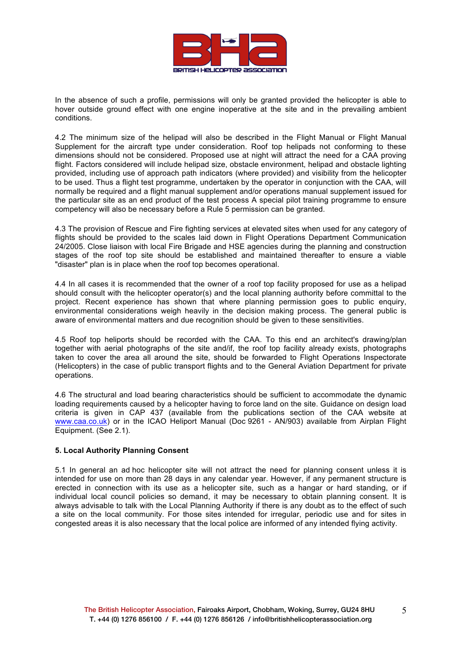

In the absence of such a profile, permissions will only be granted provided the helicopter is able to hover outside ground effect with one engine inoperative at the site and in the prevailing ambient conditions.

4.2 The minimum size of the helipad will also be described in the Flight Manual or Flight Manual Supplement for the aircraft type under consideration. Roof top helipads not conforming to these dimensions should not be considered. Proposed use at night will attract the need for a CAA proving flight. Factors considered will include helipad size, obstacle environment, helipad and obstacle lighting provided, including use of approach path indicators (where provided) and visibility from the helicopter to be used. Thus a flight test programme, undertaken by the operator in conjunction with the CAA, will normally be required and a flight manual supplement and/or operations manual supplement issued for the particular site as an end product of the test process A special pilot training programme to ensure competency will also be necessary before a Rule 5 permission can be granted.

4.3 The provision of Rescue and Fire fighting services at elevated sites when used for any category of flights should be provided to the scales laid down in Flight Operations Department Communication 24/2005. Close liaison with local Fire Brigade and HSE agencies during the planning and construction stages of the roof top site should be established and maintained thereafter to ensure a viable "disaster" plan is in place when the roof top becomes operational.

4.4 In all cases it is recommended that the owner of a roof top facility proposed for use as a helipad should consult with the helicopter operator(s) and the local planning authority before committal to the project. Recent experience has shown that where planning permission goes to public enquiry, environmental considerations weigh heavily in the decision making process. The general public is aware of environmental matters and due recognition should be given to these sensitivities.

4.5 Roof top heliports should be recorded with the CAA. To this end an architect's drawing/plan together with aerial photographs of the site and/if, the roof top facility already exists, photographs taken to cover the area all around the site, should be forwarded to Flight Operations Inspectorate (Helicopters) in the case of public transport flights and to the General Aviation Department for private operations.

4.6 The structural and load bearing characteristics should be sufficient to accommodate the dynamic loading requirements caused by a helicopter having to force land on the site. Guidance on design load criteria is given in CAP 437 (available from the publications section of the CAA website at www.caa.co.uk) or in the ICAO Heliport Manual (Doc 9261 - AN/903) available from Airplan Flight Equipment. (See 2.1).

## **5. Local Authority Planning Consent**

5.1 In general an ad hoc helicopter site will not attract the need for planning consent unless it is intended for use on more than 28 days in any calendar year. However, if any permanent structure is erected in connection with its use as a helicopter site, such as a hangar or hard standing, or if individual local council policies so demand, it may be necessary to obtain planning consent. It is always advisable to talk with the Local Planning Authority if there is any doubt as to the effect of such a site on the local community. For those sites intended for irregular, periodic use and for sites in congested areas it is also necessary that the local police are informed of any intended flying activity.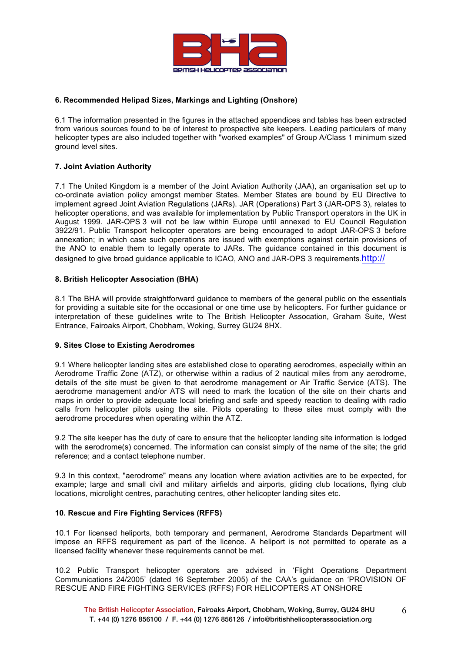

## **6. Recommended Helipad Sizes, Markings and Lighting (Onshore)**

6.1 The information presented in the figures in the attached appendices and tables has been extracted from various sources found to be of interest to prospective site keepers. Leading particulars of many helicopter types are also included together with "worked examples" of Group A/Class 1 minimum sized ground level sites.

## **7. Joint Aviation Authority**

7.1 The United Kingdom is a member of the Joint Aviation Authority (JAA), an organisation set up to co-ordinate aviation policy amongst member States. Member States are bound by EU Directive to implement agreed Joint Aviation Regulations (JARs). JAR (Operations) Part 3 (JAR-OPS 3), relates to helicopter operations, and was available for implementation by Public Transport operators in the UK in August 1999. JAR-OPS 3 will not be law within Europe until annexed to EU Council Regulation 3922/91. Public Transport helicopter operators are being encouraged to adopt JAR-OPS 3 before annexation; in which case such operations are issued with exemptions against certain provisions of the ANO to enable them to legally operate to JARs. The guidance contained in this document is designed to give broad guidance applicable to ICAO, ANO and JAR-OPS 3 requirements.http://

## **8. British Helicopter Association (BHA)**

8.1 The BHA will provide straightforward guidance to members of the general public on the essentials for providing a suitable site for the occasional or one time use by helicopters. For further guidance or interpretation of these guidelines write to The British Helicopter Assocation, Graham Suite, West Entrance, Fairoaks Airport, Chobham, Woking, Surrey GU24 8HX.

## **9. Sites Close to Existing Aerodromes**

9.1 Where helicopter landing sites are established close to operating aerodromes, especially within an Aerodrome Traffic Zone (ATZ), or otherwise within a radius of 2 nautical miles from any aerodrome, details of the site must be given to that aerodrome management or Air Traffic Service (ATS). The aerodrome management and/or ATS will need to mark the location of the site on their charts and maps in order to provide adequate local briefing and safe and speedy reaction to dealing with radio calls from helicopter pilots using the site. Pilots operating to these sites must comply with the aerodrome procedures when operating within the ATZ.

9.2 The site keeper has the duty of care to ensure that the helicopter landing site information is lodged with the aerodrome(s) concerned. The information can consist simply of the name of the site; the grid reference; and a contact telephone number.

9.3 In this context, "aerodrome" means any location where aviation activities are to be expected, for example; large and small civil and military airfields and airports, gliding club locations, flying club locations, microlight centres, parachuting centres, other helicopter landing sites etc.

## **10. Rescue and Fire Fighting Services (RFFS)**

10.1 For licensed heliports, both temporary and permanent, Aerodrome Standards Department will impose an RFFS requirement as part of the licence. A heliport is not permitted to operate as a licensed facility whenever these requirements cannot be met.

10.2 Public Transport helicopter operators are advised in 'Flight Operations Department Communications 24/2005' (dated 16 September 2005) of the CAA's guidance on 'PROVISION OF RESCUE AND FIRE FIGHTING SERVICES (RFFS) FOR HELICOPTERS AT ONSHORE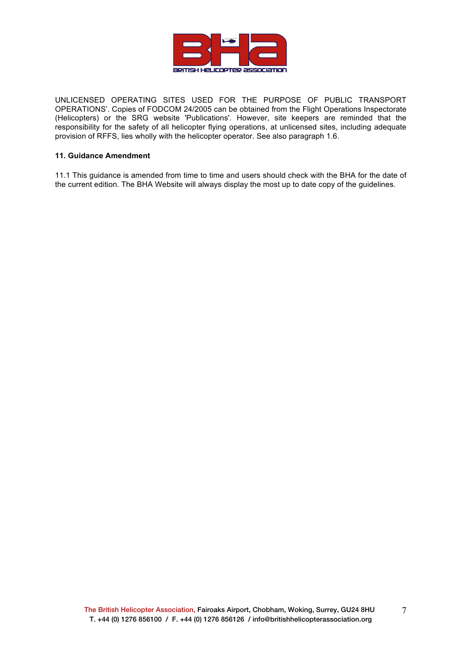

UNLICENSED OPERATING SITES USED FOR THE PURPOSE OF PUBLIC TRANSPORT OPERATIONS'. Copies of FODCOM 24/2005 can be obtained from the Flight Operations Inspectorate (Helicopters) or the SRG website 'Publications'. However, site keepers are reminded that the responsibility for the safety of all helicopter flying operations, at unlicensed sites, including adequate provision of RFFS, lies wholly with the helicopter operator. See also paragraph 1.6.

#### **11. Guidance Amendment**

11.1 This guidance is amended from time to time and users should check with the BHA for the date of the current edition. The BHA Website will always display the most up to date copy of the guidelines.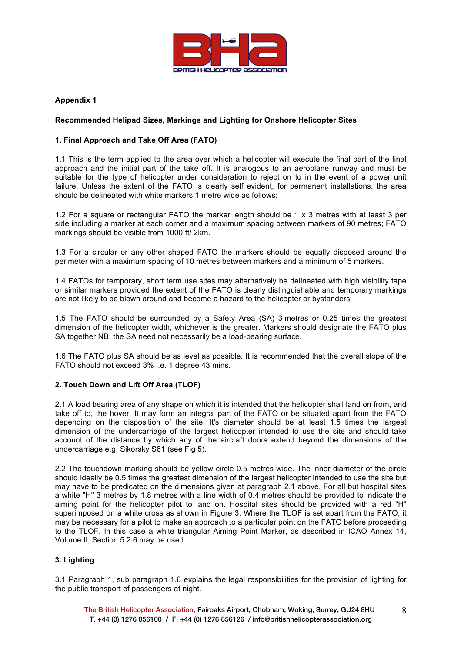

## **Recommended Helipad Sizes, Markings and Lighting for Onshore Helicopter Sites**

#### **1. Final Approach and Take Off Area (FATO)**

1.1 This is the term applied to the area over which a helicopter will execute the final part of the final approach and the initial part of the take off. It is analogous to an aeroplane runway and must be suitable for the type of helicopter under consideration to reject on to in the event of a power unit failure. Unless the extent of the FATO is clearly self evident, for permanent installations, the area should be delineated with white markers 1 metre wide as follows:

1.2 For a square or rectangular FATO the marker length should be 1 x 3 metres with at least 3 per side including a marker at each corner and a maximum spacing between markers of 90 metres; FATO markings should be visible from 1000 ft/ 2km.

1.3 For a circular or any other shaped FATO the markers should be equally disposed around the perimeter with a maximum spacing of 10 metres between markers and a minimum of 5 markers.

1.4 FATOs for temporary, short term use sites may alternatively be delineated with high visibility tape or similar markers provided the extent of the FATO is clearly distinguishable and temporary markings are not likely to be blown around and become a hazard to the helicopter or bystanders.

1.5 The FATO should be surrounded by a Safety Area (SA) 3 metres or 0.25 times the greatest dimension of the helicopter width, whichever is the greater. Markers should designate the FATO plus SA together NB: the SA need not necessarily be a load-bearing surface.

1.6 The FATO plus SA should be as level as possible. It is recommended that the overall slope of the FATO should not exceed 3% i.e. 1 degree 43 mins.

## **2. Touch Down and Lift Off Area (TLOF)**

2.1 A load bearing area of any shape on which it is intended that the helicopter shall land on from, and take off to, the hover. It may form an integral part of the FATO or be situated apart from the FATO depending on the disposition of the site. It's diameter should be at least 1.5 times the largest dimension of the undercarriage of the largest helicopter intended to use the site and should take account of the distance by which any of the aircraft doors extend beyond the dimensions of the undercarriage e.g. Sikorsky S61 (see Fig 5).

2.2 The touchdown marking should be yellow circle 0.5 metres wide. The inner diameter of the circle should ideally be 0.5 times the greatest dimension of the largest helicopter intended to use the site but may have to be predicated on the dimensions given at paragraph 2.1 above. For all but hospital sites a white "H" 3 metres by 1.8 metres with a line width of 0.4 metres should be provided to indicate the aiming point for the helicopter pilot to land on. Hospital sites should be provided with a red "H" superimposed on a white cross as shown in Figure 3. Where the TLOF is set apart from the FATO, it may be necessary for a pilot to make an approach to a particular point on the FATO before proceeding to the TLOF. In this case a white triangular Aiming Point Marker, as described in ICAO Annex 14, Volume II, Section 5.2.6 may be used.

## **3. Lighting**

3.1 Paragraph 1, sub paragraph 1.6 explains the legal responsibilities for the provision of lighting for the public transport of passengers at night.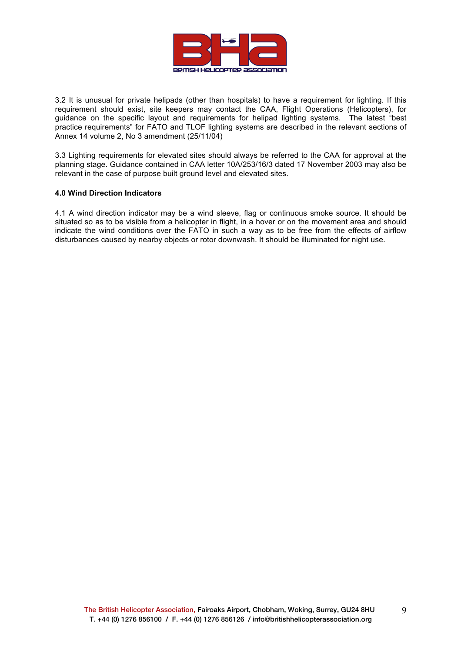

3.2 It is unusual for private helipads (other than hospitals) to have a requirement for lighting. If this requirement should exist, site keepers may contact the CAA, Flight Operations (Helicopters), for guidance on the specific layout and requirements for helipad lighting systems. The latest "best practice requirements" for FATO and TLOF lighting systems are described in the relevant sections of Annex 14 volume 2, No 3 amendment (25/11/04)

3.3 Lighting requirements for elevated sites should always be referred to the CAA for approval at the planning stage. Guidance contained in CAA letter 10A/253/16/3 dated 17 November 2003 may also be relevant in the case of purpose built ground level and elevated sites.

#### **4.0 Wind Direction Indicators**

4.1 A wind direction indicator may be a wind sleeve, flag or continuous smoke source. It should be situated so as to be visible from a helicopter in flight, in a hover or on the movement area and should indicate the wind conditions over the FATO in such a way as to be free from the effects of airflow disturbances caused by nearby objects or rotor downwash. It should be illuminated for night use.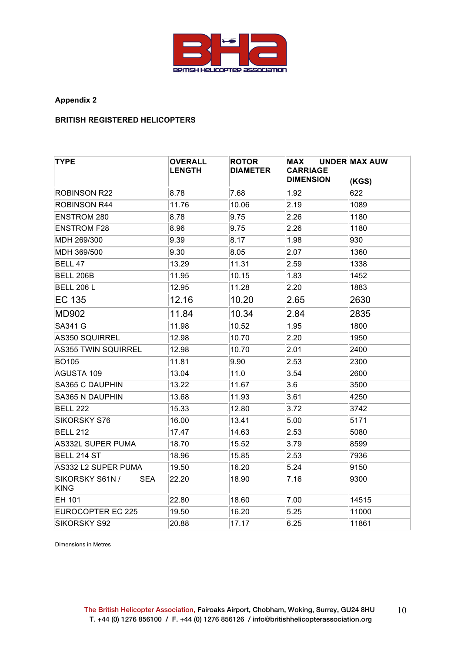

## **BRITISH REGISTERED HELICOPTERS**

| <b>TYPE</b>                           | <b>OVERALL</b><br><b>LENGTH</b> | <b>ROTOR</b><br><b>DIAMETER</b> | MAX<br><b>CARRIAGE</b><br><b>DIMENSION</b> | <b>UNDER MAX AUW</b><br>(KGS) |
|---------------------------------------|---------------------------------|---------------------------------|--------------------------------------------|-------------------------------|
| <b>ROBINSON R22</b>                   | 8.78                            | 7.68                            | 1.92                                       | 622                           |
| <b>ROBINSON R44</b>                   | 11.76                           | 10.06                           | 2.19                                       | 1089                          |
| <b>ENSTROM 280</b>                    | 8.78                            | 9.75                            | 2.26                                       | 1180                          |
| <b>ENSTROM F28</b>                    | 8.96                            | 9.75                            | 2.26                                       | 1180                          |
| MDH 269/300                           | 9.39                            | 8.17                            | 1.98                                       | 930                           |
| MDH 369/500                           | 9.30                            | 8.05                            | 2.07                                       | 1360                          |
| BELL 47                               | 13.29                           | 11.31                           | 2.59                                       | 1338                          |
| BELL 206B                             | 11.95                           | 10.15                           | 1.83                                       | 1452                          |
| <b>BELL 206 L</b>                     | 12.95                           | 11.28                           | 2.20                                       | 1883                          |
| EC 135                                | 12.16                           | 10.20                           | 2.65                                       | 2630                          |
| <b>MD902</b>                          | 11.84                           | 10.34                           | 2.84                                       | 2835                          |
| <b>SA341 G</b>                        | 11.98                           | 10.52                           | 1.95                                       | 1800                          |
| AS350 SQUIRREL                        | 12.98                           | 10.70                           | 2.20                                       | 1950                          |
| <b>AS355 TWIN SQUIRREL</b>            | 12.98                           | 10.70                           | 2.01                                       | 2400                          |
| <b>BO105</b>                          | 11.81                           | 9.90                            | 2.53                                       | 2300                          |
| AGUSTA 109                            | 13.04                           | 11.0                            | 3.54                                       | 2600                          |
| SA365 C DAUPHIN                       | 13.22                           | 11.67                           | 3.6                                        | 3500                          |
| <b>SA365 N DAUPHIN</b>                | 13.68                           | 11.93                           | 3.61                                       | 4250                          |
| <b>BELL 222</b>                       | 15.33                           | 12.80                           | 3.72                                       | 3742                          |
| <b>SIKORSKY S76</b>                   | 16.00                           | 13.41                           | 5.00                                       | 5171                          |
| <b>BELL 212</b>                       | 17.47                           | 14.63                           | 2.53                                       | 5080                          |
| AS332L SUPER PUMA                     | 18.70                           | 15.52                           | 3.79                                       | 8599                          |
| BELL 214 ST                           | 18.96                           | 15.85                           | 2.53                                       | 7936                          |
| AS332 L2 SUPER PUMA                   | 19.50                           | 16.20                           | 5.24                                       | 9150                          |
| SIKORSKY S61N /<br><b>SEA</b><br>KING | 22.20                           | 18.90                           | 7.16                                       | 9300                          |
| EH 101                                | 22.80                           | 18.60                           | 7.00                                       | 14515                         |
| EUROCOPTER EC 225                     | 19.50                           | 16.20                           | 5.25                                       | 11000                         |
| <b>SIKORSKY S92</b>                   | 20.88                           | 17.17                           | 6.25                                       | 11861                         |

Dimensions in Metres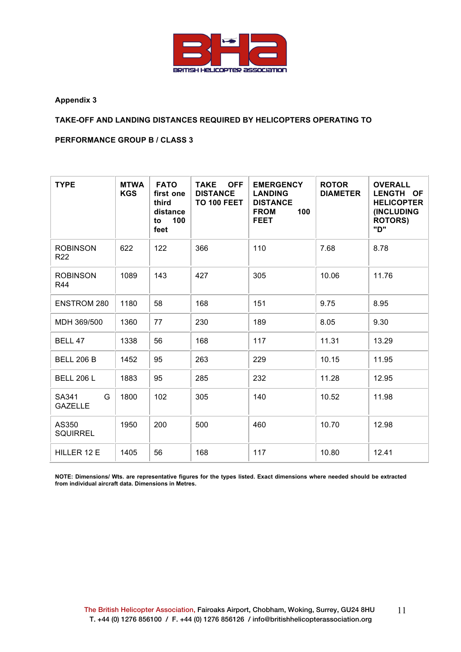

## **TAKE-OFF AND LANDING DISTANCES REQUIRED BY HELICOPTERS OPERATING TO**

**PERFORMANCE GROUP B / CLASS 3**

| <b>TYPE</b>                        | <b>MTWA</b><br><b>KGS</b> | <b>FATO</b><br>first one<br>third<br>distance<br>to 100<br>feet | <b>OFF</b><br><b>TAKE</b><br><b>DISTANCE</b><br><b>TO 100 FEET</b> | <b>EMERGENCY</b><br><b>LANDING</b><br><b>DISTANCE</b><br><b>FROM</b><br>100<br><b>FEET</b> | <b>ROTOR</b><br><b>DIAMETER</b> | <b>OVERALL</b><br>LENGTH OF<br><b>HELICOPTER</b><br>(INCLUDING<br><b>ROTORS)</b><br>"ט" |
|------------------------------------|---------------------------|-----------------------------------------------------------------|--------------------------------------------------------------------|--------------------------------------------------------------------------------------------|---------------------------------|-----------------------------------------------------------------------------------------|
| <b>ROBINSON</b><br>R <sub>22</sub> | 622                       | 122                                                             | 366                                                                | 110                                                                                        | 7.68                            | 8.78                                                                                    |
| <b>ROBINSON</b><br>R44             | 1089                      | 143                                                             | 427                                                                | 305                                                                                        | 10.06                           | 11.76                                                                                   |
| <b>ENSTROM 280</b>                 | 1180                      | 58                                                              | 168                                                                | 151                                                                                        | 9.75                            | 8.95                                                                                    |
| MDH 369/500                        | 1360                      | 77                                                              | 230                                                                | 189                                                                                        | 8.05                            | 9.30                                                                                    |
| BELL 47                            | 1338                      | 56                                                              | 168                                                                | 117                                                                                        | 11.31                           | 13.29                                                                                   |
| <b>BELL 206 B</b>                  | 1452                      | 95                                                              | 263                                                                | 229                                                                                        | 10.15                           | 11.95                                                                                   |
| <b>BELL 206 L</b>                  | 1883                      | 95                                                              | 285                                                                | 232                                                                                        | 11.28                           | 12.95                                                                                   |
| SA341<br>G<br><b>GAZELLE</b>       | 1800                      | 102                                                             | 305                                                                | 140                                                                                        | 10.52                           | 11.98                                                                                   |
| AS350<br><b>SQUIRREL</b>           | 1950                      | 200                                                             | 500                                                                | 460                                                                                        | 10.70                           | 12.98                                                                                   |
| HILLER 12 E                        | 1405                      | 56                                                              | 168                                                                | 117                                                                                        | 10.80                           | 12.41                                                                                   |

**NOTE: Dimensions/ Wts. are representative figures for the types listed. Exact dimensions where needed should be extracted from individual aircraft data. Dimensions in Metres.**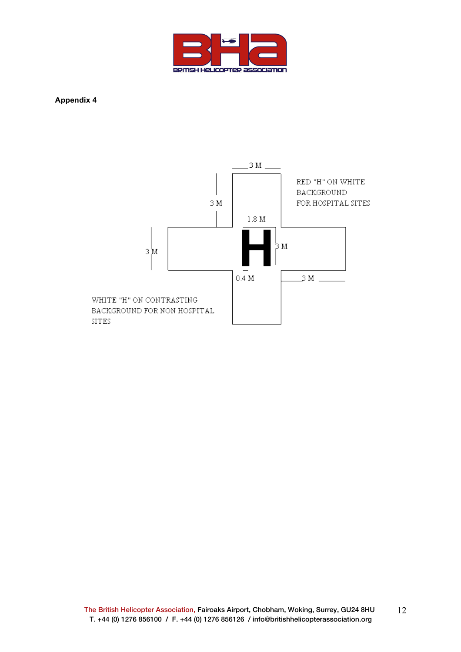

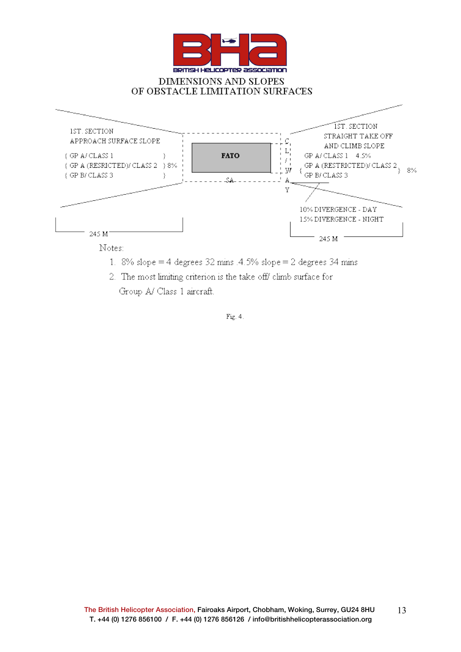

- 1. 8% slope = 4 degrees 32 mins .4.5% slope = 2 degrees 34 mins
	- 2. The most limiting criterion is the take off climb surface for Group A/ Class 1 aircraft.

Fig. 4.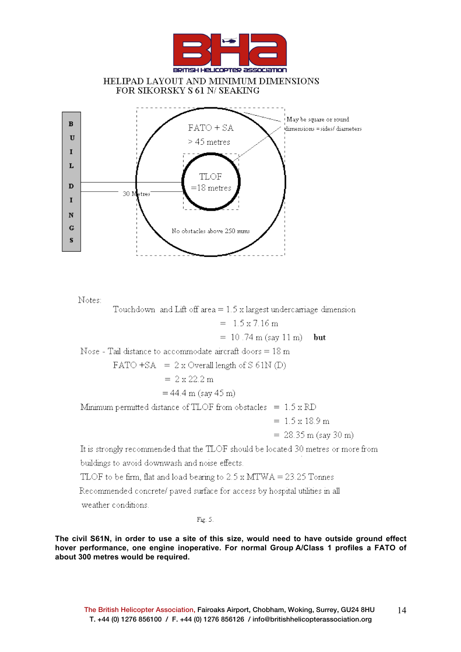

Notes:

Touchdown and Lift off area  $= 1.5$  x largest undercarriage dimension

 $= 1.5 \times 7.16 \text{ m}$ 

 $= 10.74$  m (say 11 m) but

Nose - Tail distance to accommodate aircraft doors =  $18 \text{ m}$ 

$$
FATO + SA = 2 x Overall length of S 61N (D)
$$

$$
= 2 \times 22.2 \text{ m}
$$

$$
=44.4\ \mathrm{m}\ (say\ 45\ \mathrm{m})
$$

Minimum permitted distance of TLOF from obstacles =  $1.5 \times \text{RD}$ 

 $= 1.5 \times 18.9 \text{ m}$ 

 $= 28.35$  m (say 30 m)

It is strongly recommended that the TLOF should be located 30 metres or more from buildings to avoid downwash and noise effects.

TLOF to be firm, flat and load bearing to  $2.5 \times \text{MTWA} = 23.25$  Tonnes

Recommended concrete/ paved surface for access by hospital utilities in all

weather conditions.

 $Fig. 5.$ 

**The civil S61N, in order to use a site of this size, would need to have outside ground effect hover performance, one engine inoperative. For normal Group A/Class 1 profiles a FATO of about 300 metres would be required.**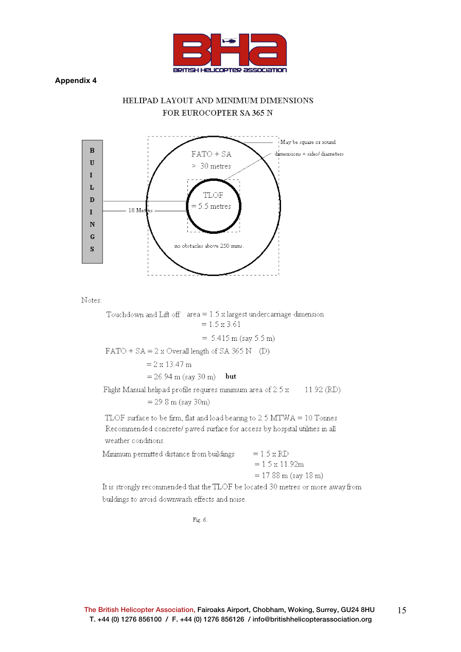

## HELIPAD LAYOUT AND MINIMUM DIMENSIONS FOR EUROCOPTER SA 365 N



Notes:

Touchdown and Lift off  $area = 1.5$  x largest undercarriage dimension  $= 1.5 \times 3.61$ 

$$
= 5.415 \text{ m (say 5.5 m)}
$$

 $FATO + SA = 2x$  Overall length of SA 365 N (D)

$$
= 2 \times 13.47 \; \mathrm{m}
$$

 $= 26.94$  m (say 30 m) but

Flight Manual helipad profile requires minimum area of 2.5 x 11.92 (RD)  $= 29.8$  m (say 30m)

TLOF surface to be firm, flat and load bearing to 2.5 MTWA = 10 Tonnes Recommended concrete/ paved surface for access by hospital utilities in all weather conditions.

Minimum permitted distance from buildings  $= 1.5 \times RD$ 

| $= 1.5 \times 11.92$ m                                  |
|---------------------------------------------------------|
| $= 17.88 \text{ m} \text{ (say } 18 \text{ m} \text{)}$ |

It is strongly recommended that the TLOF be located 30 metres or more away from buildings to avoid downwash effects and noise.

Fig.  $6$ .